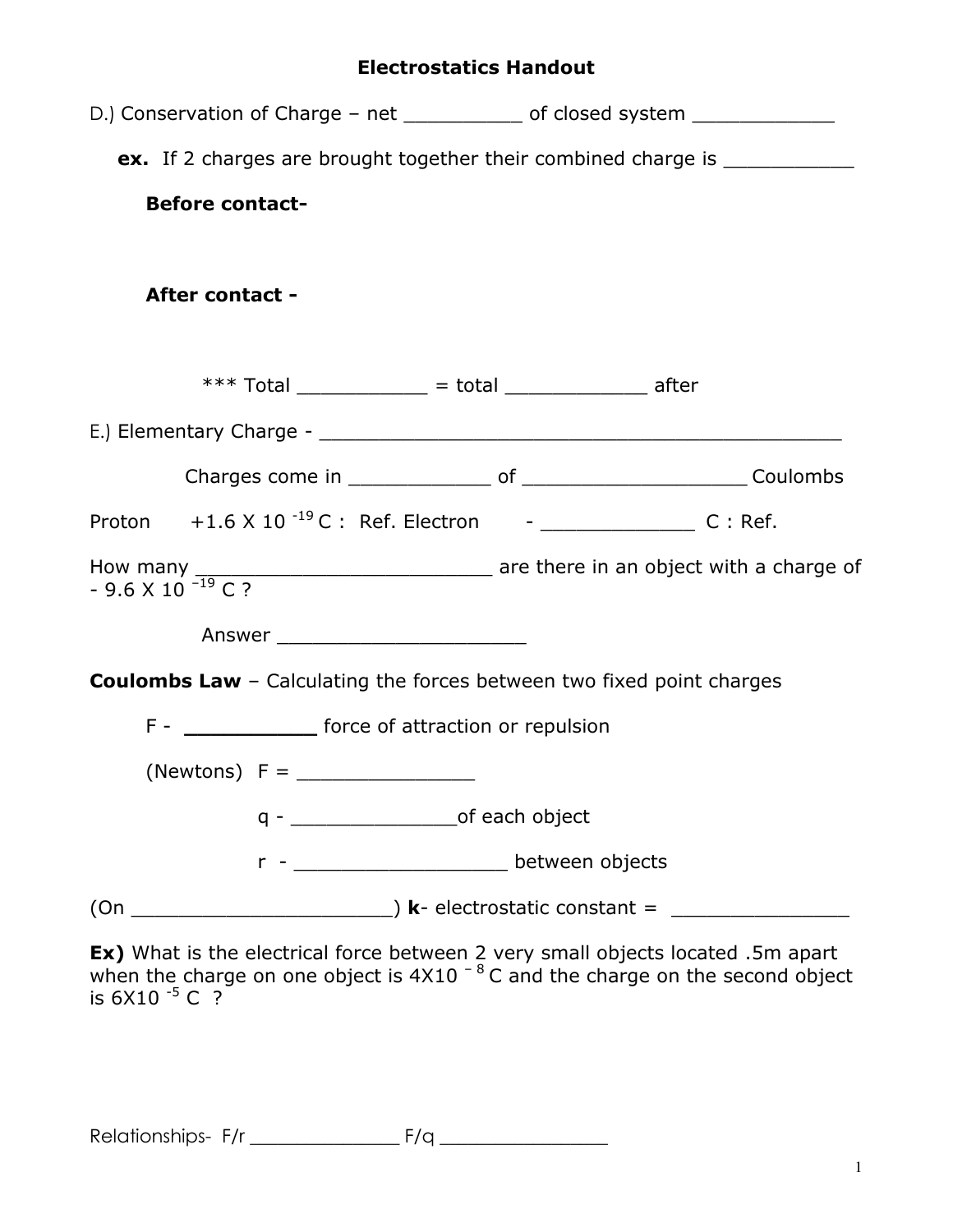## Electrostatics Handout

| D.) Conservation of Charge – net _____________ of closed system ________________             |
|----------------------------------------------------------------------------------------------|
| ex. If 2 charges are brought together their combined charge is _________________             |
| <b>Before contact-</b>                                                                       |
| After contact -                                                                              |
| *** Total _____________ = total ______________ after                                         |
|                                                                                              |
|                                                                                              |
|                                                                                              |
| How many $\frac{1}{2}$ are there in an object with a charge of - 9.6 X 10 <sup>-19</sup> C ? |
|                                                                                              |
| <b>Coulombs Law</b> - Calculating the forces between two fixed point charges                 |
| F - ________________ force of attraction or repulsion                                        |
| (Newtons) $F =$ _____________________                                                        |
| $q -$                                                                                        |
| LASTER DELIVEER OBjects<br>r                                                                 |
|                                                                                              |

**Ex)** What is the electrical force between 2 very small objects located .5m apart when the charge on one object is  $4X10^{-8}$  C and the charge on the second object is  $6X10^{-5}$  C ?

Relationships- F/r \_\_\_\_\_\_\_\_\_\_\_\_\_\_\_\_ F/q \_\_\_\_\_\_\_\_\_\_\_\_\_\_\_\_\_\_